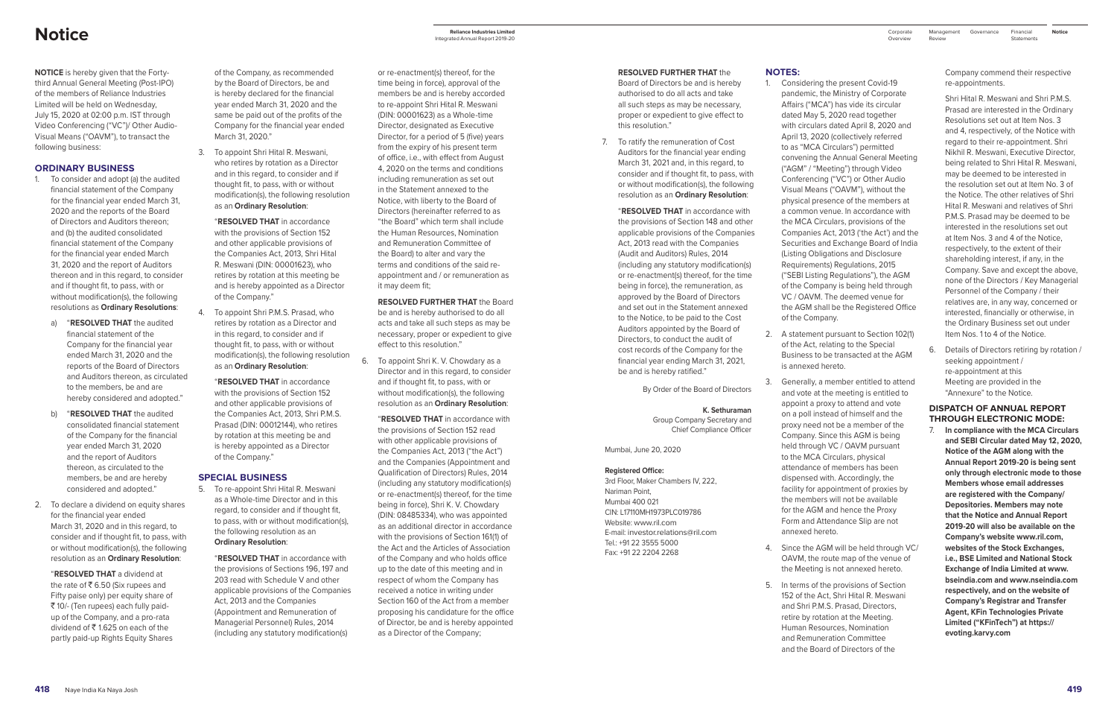# **Notice**

**NOTICE** is hereby given that the Fortythird Annual General Meeting (Post-IPO) of the members of Reliance Industries Limited will be held on Wednesday, July 15, 2020 at 02:00 p.m. IST through Video Conferencing ("VC")/ Other Audio-Visual Means ("OAVM"), to transact the following business:

# **ORDINARY BUSINESS**

- 1. To consider and adopt (a) the audited financial statement of the Company for the financial year ended March 31, 2020 and the reports of the Board of Directors and Auditors thereon; and (b) the audited consolidated financial statement of the Company for the financial year ended March 31, 2020 and the report of Auditors thereon and in this regard, to consider and if thought fit, to pass, with or without modification(s), the following resolutions as **Ordinary Resolutions**:
	- a) "**RESOLVED THAT** the audited financial statement of the Company for the financial year ended March 31, 2020 and the reports of the Board of Directors and Auditors thereon, as circulated to the members, be and are hereby considered and adopted."
	- b) "**RESOLVED THAT** the audited consolidated financial statement of the Company for the financial year ended March 31, 2020 and the report of Auditors thereon, as circulated to the members, be and are hereby considered and adopted."
- 2. To declare a dividend on equity shares for the financial year ended March 31, 2020 and in this regard, to consider and if thought fit, to pass, with or without modification(s), the following resolution as an **Ordinary Resolution**:

"**RESOLVED THAT** a dividend at the rate of  $\bar{\bar{\mathcal{E}}}$  6.50 (Six rupees and Fifty paise only) per equity share of ₹ 10/- (Ten rupees) each fully paidup of the Company, and a pro-rata dividend of  $\bar{\bar{\xi}}$  1.625 on each of the partly paid-up Rights Equity Shares

of the Company, as recommended by the Board of Directors, be and is hereby declared for the financial year ended March 31, 2020 and the same be paid out of the profits of the Company for the financial year ended March 31, 2020."

3. To appoint Shri Hital R. Meswani, who retires by rotation as a Director and in this regard, to consider and if thought fit, to pass, with or without modification(s), the following resolution as an **Ordinary Resolution**:

"**RESOLVED THAT** in accordance with the provisions of Section 152 and other applicable provisions of the Companies Act, 2013, Shri Hital R. Meswani (DIN: 00001623), who retires by rotation at this meeting be and is hereby appointed as a Director of the Company."

4. To appoint Shri P.M.S. Prasad, who retires by rotation as a Director and in this regard, to consider and if thought fit, to pass, with or without modification(s), the following resolution as an **Ordinary Resolution**:

"**RESOLVED THAT** in accordance with the provisions of Section 152 and other applicable provisions of the Companies Act, 2013, Shri P.M.S. Prasad (DIN: 00012144), who retires by rotation at this meeting be and is hereby appointed as a Director of the Company."

### **SPECIAL BUSINESS**

5. To re-appoint Shri Hital R. Meswani as a Whole-time Director and in this regard, to consider and if thought fit, to pass, with or without modification(s), the following resolution as an **Ordinary Resolution**:

"**RESOLVED THAT** in accordance with the provisions of Sections 196, 197 and 203 read with Schedule V and other applicable provisions of the Companies Act, 2013 and the Companies (Appointment and Remuneration of Managerial Personnel) Rules, 2014 (including any statutory modification(s)

or re-enactment(s) thereof, for the time being in force), approval of the members be and is hereby accorded to re-appoint Shri Hital R. Meswani (DIN: 00001623) as a Whole-time Director, designated as Executive Director, for a period of 5 (five) years from the expiry of his present term of office, i.e., with effect from August 4, 2020 on the terms and conditions including remuneration as set out in the Statement annexed to the Notice, with liberty to the Board of Directors (hereinafter referred to as "the Board" which term shall include the Human Resources, Nomination and Remuneration Committee of the Board) to alter and vary the terms and conditions of the said reappointment and / or remuneration as it may deem fit;

**RESOLVED FURTHER THAT** the Board be and is hereby authorised to do all acts and take all such steps as may be necessary, proper or expedient to give effect to this resolution."

6. To appoint Shri K. V. Chowdary as a Director and in this regard, to consider and if thought fit, to pass, with or without modification(s), the following resolution as an **Ordinary Resolution**:

> "**RESOLVED THAT** in accordance with the provisions of Section 152 read with other applicable provisions of the Companies Act, 2013 ("the Act") and the Companies (Appointment and Qualification of Directors) Rules, 2014 (including any statutory modification(s) or re-enactment(s) thereof, for the time being in force), Shri K. V. Chowdary (DIN: 08485334), who was appointed as an additional director in accordance with the provisions of Section 161(1) of the Act and the Articles of Association of the Company and who holds office up to the date of this meeting and in respect of whom the Company has received a notice in writing under Section 160 of the Act from a member proposing his candidature for the office of Director, be and is hereby appointed as a Director of the Company;

Financial **Notice Statements** 

#### **RESOLVED FURTHER THAT** the

Board of Directors be and is hereby authorised to do all acts and take all such steps as may be necessary, proper or expedient to give effect to this resolution."

7. To ratify the remuneration of Cost Auditors for the financial year ending March 31, 2021 and, in this regard, to consider and if thought fit, to pass, with or without modification(s), the following resolution as an **Ordinary Resolution**:

"**RESOLVED THAT** in accordance with the provisions of Section 148 and other applicable provisions of the Companies Act, 2013 read with the Companies (Audit and Auditors) Rules, 2014 (including any statutory modification(s) or re-enactment(s) thereof, for the time being in force), the remuneration, as approved by the Board of Directors and set out in the Statement annexed to the Notice, to be paid to the Cost Auditors appointed by the Board of Directors, to conduct the audit of cost records of the Company for the financial year ending March 31, 2021, be and is hereby ratified."

By Order of the Board of Directors

# **K. Sethuraman**

Group Company Secretary and Chief Compliance Officer

Mumbai, June 20, 2020

# **Registered Office:**

3rd Floor, Maker Chambers IV, 222, Nariman Point, Mumbai 400 021 CIN: L17110MH1973PLC019786 Website: [www.ril.com](http://www.ril.com) E-mail: [investor.relations@ril.com](mailto:investor.relations@ril.com)  $Tel: +91 22 3555 5000$ Fax: +91 22 2204 2268

## **NOTES:**

- 1. Considering the present Covid-19 pandemic, the Ministry of Corporate Affairs ("MCA") has vide its circular dated May 5, 2020 read together with circulars dated April 8, 2020 and April 13, 2020 (collectively referred to as "MCA Circulars") permitted convening the Annual General Meeting ("AGM" / "Meeting") through Video Conferencing ("VC") or Other Audio Visual Means ("OAVM"), without the physical presence of the members at a common venue. In accordance with the MCA Circulars, provisions of the Companies Act, 2013 ('the Act') and the Securities and Exchange Board of India (Listing Obligations and Disclosure Requirements) Regulations, 2015 ("SEBI Listing Regulations"), the AGM of the Company is being held through VC / OAVM. The deemed venue for the AGM shall be the Registered Office of the Company.
- 2. A statement pursuant to Section 102(1) of the Act, relating to the Special Business to be transacted at the AGM is annexed hereto.
- 3. Generally, a member entitled to attend and vote at the meeting is entitled to appoint a proxy to attend and vote on a poll instead of himself and the proxy need not be a member of the Company. Since this AGM is being held through VC / OAVM pursuant to the MCA Circulars, physical attendance of members has been dispensed with. Accordingly, the facility for appointment of proxies by the members will not be available for the AGM and hence the Proxy Form and Attendance Slip are not annexed hereto.
- 4. Since the AGM will be held through VC/ OAVM, the route map of the venue of the Meeting is not annexed hereto.
- 5. In terms of the provisions of Section 152 of the Act, Shri Hital R. Meswani and Shri P.M.S. Prasad, Directors, retire by rotation at the Meeting. Human Resources, Nomination and Remuneration Committee and the Board of Directors of the

Company commend their respective re-appointments.

Shri Hital R. Meswani and Shri P.M.S. Prasad are interested in the Ordinary Resolutions set out at Item Nos. 3 and 4, respectively, of the Notice with regard to their re-appointment. Shri Nikhil R. Meswani, Executive Director, being related to Shri Hital R. Meswani, may be deemed to be interested in the resolution set out at Item No. 3 of the Notice. The other relatives of Shri Hital R. Meswani and relatives of Shri P.M.S. Prasad may be deemed to be interested in the resolutions set out at Item Nos. 3 and 4 of the Notice, respectively, to the extent of their shareholding interest, if any, in the Company. Save and except the above, none of the Directors / Key Managerial Personnel of the Company / their relatives are, in any way, concerned or interested, financially or otherwise, in the Ordinary Business set out under Item Nos. 1 to 4 of the Notice.

6. Details of Directors retiring by rotation / seeking appointment / re-appointment at this Meeting are provided in the "Annexure" to the Notice.

# **DISPATCH OF ANNUAL REPORT THROUGH ELECTRONIC MODE:**

7. **In compliance with the MCA Circulars and SEBI Circular dated May 12, 2020, Notice of the AGM along with the Annual Report 2019-20 is being sent only through electronic mode to those Members whose email addresses are registered with the Company/ Depositories. Members may note that the Notice and Annual Report 2019-20 will also be available on the Company's website [www.ril.com](http://www.ril.com), websites of the Stock Exchanges, i.e., BSE Limited and National Stock Exchange of India Limited at [www.](http://www.bseindia.com) [bseindia.com](http://www.bseindia.com) and [www.nseindia.com](http://www.nseindia.com) respectively, and on the website of Company's Registrar and Transfer Agent, KFin Technologies Private Limited ("KFinTech") at [https://](https://evoting.karvy.com) [evoting.karvy.com](https://evoting.karvy.com)**

Review

Management Corporate Governance

Overview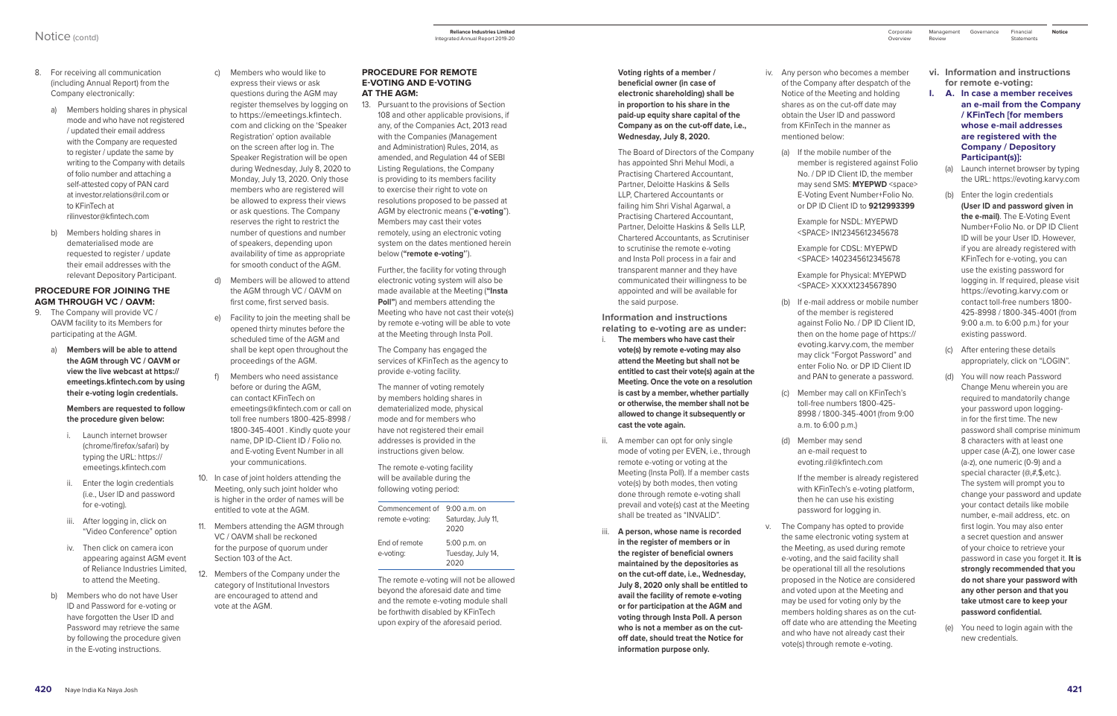- 8. For receiving all communication (including Annual Report) from the Company electronically:
	- a) Members holding shares in physical mode and who have not registered / updated their email address with the Company are requested to register / update the same by writing to the Company with details of folio number and attaching a self-attested copy of PAN card at investor.relations@ril.com or to KFinTech at rilinvestor@kfintech.com
	- b) Members holding shares in dematerialised mode are requested to register / update their email addresses with the relevant Depository Participant.

# **PROCEDURE FOR JOINING THE AGM THROUGH VC / OAVM:**

- 9. The Company will provide VC / OAVM facility to its Members for participating at the AGM.
	- a) **Members will be able to attend the AGM through VC / OAVM or view the live webcast at [https://](https://emeetings.kfintech.com) [emeetings.kfintech.com](https://emeetings.kfintech.com) by using their e-voting login credentials.**

### **Members are requested to follow the procedure given below:**

- i. Launch internet browser (chrome/firefox/safari) by typing the URL: [https://](https://emeetings.kfintech.com) [emeetings.kfintech.com](https://emeetings.kfintech.com)
- ii. Enter the login credentials (i.e., User ID and password for e-voting).
- iii. After logging in, click on "Video Conference" option
- iv. Then click on camera icon appearing against AGM event of Reliance Industries Limited, to attend the Meeting.
- b) Members who do not have User ID and Password for e-voting or have forgotten the User ID and Password may retrieve the same by following the procedure given in the E-voting instructions.
- c) Members who would like to express their views or ask questions during the AGM may register themselves by logging on to [https://emeetings.kfintech.](https://emeetings.kfintech.com)
	- [com](https://emeetings.kfintech.com) and clicking on the 'Speaker Registration' option available on the screen after log in. The Speaker Registration will be open during Wednesday, July 8, 2020 to Monday, July 13, 2020. Only those members who are registered will be allowed to express their views or ask questions. The Company reserves the right to restrict the number of questions and number of speakers, depending upon availability of time as appropriate for smooth conduct of the AGM.
- d) Members will be allowed to attend the AGM through VC / OAVM on first come, first served basis.
- e) Facility to join the meeting shall be opened thirty minutes before the scheduled time of the AGM and shall be kept open throughout the proceedings of the AGM.
- f) Members who need assistance before or during the AGM, can contact KFinTech on emeetings@kfintech.com or call on toll free numbers 1800-425-8998 / 1800-345-4001 . Kindly quote your name, DP ID-Client ID / Folio no. and E-voting Event Number in all your communications.
- 10. In case of joint holders attending the Meeting, only such joint holder who is higher in the order of names will be entitled to vote at the AGM.
- 11. Members attending the AGM through VC / OAVM shall be reckoned for the purpose of quorum under Section 103 of the Act.
- 12. Members of the Company under the category of Institutional Investors are encouraged to attend and vote at the AGM.

# **PROCEDURE FOR REMOTE E-VOTING AND E-VOTING AT THE AGM:**

13. Pursuant to the provisions of Section 108 and other applicable provisions, if any, of the Companies Act, 2013 read with the Companies (Management and Administration) Rules, 2014, as amended, and Regulation 44 of SEBI Listing Regulations, the Company is providing to its members facility to exercise their right to vote on resolutions proposed to be passed at AGM by electronic means ("**e-voting**"). Members may cast their votes remotely, using an electronic voting system on the dates mentioned herein below (**"remote e-voting'**').

> Further, the facility for voting through electronic voting system will also be made available at the Meeting (**"Insta Poll"**) and members attending the Meeting who have not cast their vote(s) by remote e-voting will be able to vote at the Meeting through Insta Poll.

The Company has engaged the services of KFinTech as the agency to provide e-voting facility.

The manner of voting remotely by members holding shares in dematerialized mode, physical mode and for members who have not registered their email addresses is provided in the instructions given below.

The remote e-voting facility will be available during the following voting period:

| Commencement of<br>remote e-voting: | $9.00$ a.m. on<br>Saturday, July 11,<br>2020 |
|-------------------------------------|----------------------------------------------|
| End of remote<br>e-voting:          | 5:00 p.m. on<br>Tuesday, July 14,<br>2020    |

The remote e-voting will not be allowed beyond the aforesaid date and time and the remote e-voting module shall be forthwith disabled by KFinTech upon expiry of the aforesaid period.

**Voting rights of a member / beneficial owner (in case of electronic shareholding) shall be in proportion to his share in the paid-up equity share capital of the Company as on the cut-off date, i.e., Wednesday, July 8, 2020.**

Financial **Notice Statements** 

- 
- 

- 
- 
- 

- 
- 
- 
- 

The Board of Directors of the Company has appointed Shri Mehul Modi, a Practising Chartered Accountant, Partner, Deloitte Haskins & Sells LLP, Chartered Accountants or failing him Shri Vishal Agarwal, a Practising Chartered Accountant, Partner, Deloitte Haskins & Sells LLP, Chartered Accountants, as Scrutiniser to scrutinise the remote e-voting and Insta Poll process in a fair and transparent manner and they have communicated their willingness to be appointed and will be available for the said purpose.

**Information and instructions relating to e-voting are as under:**

- i. **The members who have cast their vote(s) by remote e-voting may also attend the Meeting but shall not be entitled to cast their vote(s) again at the Meeting. Once the vote on a resolution is cast by a member, whether partially or otherwise, the member shall not be allowed to change it subsequently or cast the vote again.**
- ii. A member can opt for only single mode of voting per EVEN, i.e., through remote e-voting or voting at the Meeting (Insta Poll). If a member casts vote(s) by both modes, then voting done through remote e-voting shall prevail and vote(s) cast at the Meeting shall be treated as "INVALID".
- iii. **A person, whose name is recorded in the register of members or in the register of beneficial owners maintained by the depositories as on the cut-off date, i.e., Wednesday, July 8, 2020 only shall be entitled to avail the facility of remote e-voting or for participation at the AGM and voting through Insta Poll. A person who is not a member as on the cutoff date, should treat the Notice for information purpose only.**
- iv. Any person who becomes a member of the Company after despatch of the Notice of the Meeting and holding shares as on the cut-off date may obtain the User ID and password from KFinTech in the manner as mentioned below:
	- (a) If the mobile number of the member is registered against Folio No. / DP ID Client ID, the member may send SMS: **MYEPWD** <space> E-Voting Event Number+Folio No. or DP ID Client ID to **9212993399**

Example for NSDL: MYEPWD <SPACE> IN12345612345678

Example for CDSL: MYEPWD <SPACE> 1402345612345678

Example for Physical: MYEPWD <SPACE> XXXX1234567890

- (b) If e-mail address or mobile number of the member is registered against Folio No. / DP ID Client ID, then on the home page of [https://](https://evoting.karvy.com) [evoting.karvy.com](https://evoting.karvy.com), the member may click "Forgot Password" and enter Folio No. or DP ID Client ID and PAN to generate a password.
- (c) Member may call on KFinTech's toll-free numbers 1800-425- 8998 / 1800-345-4001 (from 9:00 a.m. to 6:00 p.m.)
- (d) Member may send an e-mail request to evoting.ril@kfintech.com

If the member is already registered with KFinTech's e-voting platform, then he can use his existing password for logging in.

v. The Company has opted to provide the same electronic voting system at the Meeting, as used during remote e-voting, and the said facility shall be operational till all the resolutions proposed in the Notice are considered and voted upon at the Meeting and may be used for voting only by the members holding shares as on the cutoff date who are attending the Meeting and who have not already cast their vote(s) through remote e-voting.

- **vi. Information and instructions for remote e-voting:**
- **I. A. In case a member receives an e-mail from the Company / KFinTech [for members whose e-mail addresses are registered with the Company / Depository Participant(s)]:**
	- (a) Launch internet browser by typing the URL: <https://evoting.karvy.com>
	- (b) Enter the login credentials **(User ID and password given in the e-mail)**. The E-Voting Event Number+Folio No. or DP ID Client ID will be your User ID. However, if you are already registered with KFinTech for e-voting, you can use the existing password for logging in. If required, please visit <https://evoting.karvy.com> or contact toll-free numbers 1800- 425-8998 / 1800-345-4001 (from 9:00 a.m. to 6:00 p.m.) for your existing password.
	- (c) After entering these details appropriately, click on "LOGIN".
	- (d) You will now reach Password Change Menu wherein you are required to mandatorily change your password upon loggingin for the first time. The new password shall comprise minimum 8 characters with at least one upper case (A-Z), one lower case (a-z), one numeric (0-9) and a special character (@,#,\$,etc.). The system will prompt you to change your password and update your contact details like mobile number, e-mail address, etc. on first login. You may also enter a secret question and answer of your choice to retrieve your password in case you forget it. **It is strongly recommended that you do not share your password with any other person and that you take utmost care to keep your password confidential.**
	- (e) You need to login again with the new credentials.

| Corporate | Management | Governance |
|-----------|------------|------------|
| Overview  | Review     |            |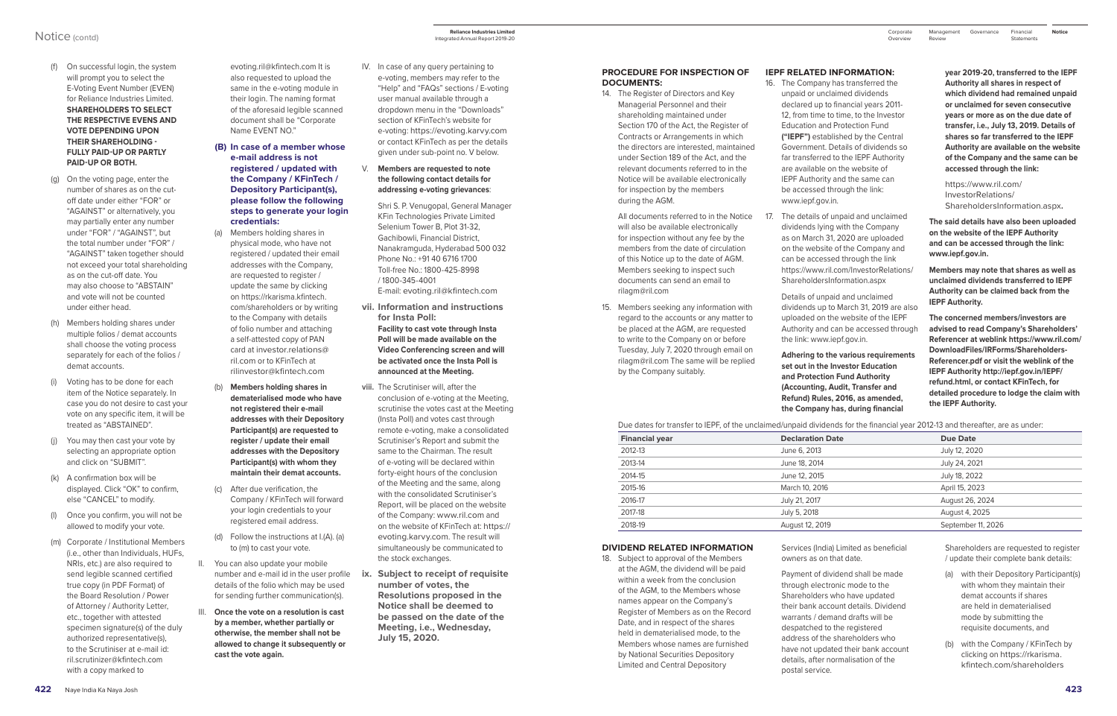# Notice (contd)

- (f) On successful login, the system will prompt you to select the E-Voting Event Number (EVEN) for Reliance Industries Limited. **SHAREHOLDERS TO SELECT THE RESPECTIVE EVENS AND VOTE DEPENDING UPON THEIR SHAREHOLDING - FULLY PAID-UP OR PARTLY PAID-UP OR BOTH.**
- (g) On the voting page, enter the number of shares as on the cutoff date under either "FOR" or "AGAINST" or alternatively, you may partially enter any number under "FOR" / "AGAINST", but the total number under "FOR" / "AGAINST" taken together should not exceed your total shareholding as on the cut-off date. You may also choose to "ABSTAIN" and vote will not be counted under either head.
- (h) Members holding shares under multiple folios / demat accounts shall choose the voting process separately for each of the folios / demat accounts.
- (i) Voting has to be done for each item of the Notice separately. In case you do not desire to cast your vote on any specific item, it will be treated as "ABSTAINED".
- (j) You may then cast your vote by selecting an appropriate option and click on "SUBMIT".
- (k) A confirmation box will be displayed. Click "OK" to confirm, else "CANCEL" to modify.
- (l) Once you confirm, you will not be allowed to modify your vote.
- (m) Corporate / Institutional Members (i.e., other than Individuals, HUFs, NRIs, etc.) are also required to send legible scanned certified true copy (in PDF Format) of the Board Resolution / Power of Attorney / Authority Letter, etc., together with attested specimen signature(s) of the duly authorized representative(s), to the Scrutiniser at e-mail id: ril.scrutinizer@kfintech.com with a copy marked to
- evoting.ril@kfintech.com It is also requested to upload the same in the e-voting module in their login. The naming format of the aforesaid legible scanned document shall be "Corporate Name EVENT NO."
- **(B) In case of a member whose e-mail address is not registered / updated with the Company / KFinTech / Depository Participant(s), please follow the following steps to generate your login credentials:**
- (a) Members holding shares in physical mode, who have not registered / updated their email addresses with the Company, are requested to register / update the same by clicking on [https://rkarisma.kfintech.](https://rkarisma.kfintech.com/shareholders) [com/shareholders](https://rkarisma.kfintech.com/shareholders) or by writing to the Company with details of folio number and attaching a self-attested copy of PAN card at [investor.relations@](mailto:investor.relations@ril.com) [ril.com](mailto:investor.relations@ril.com) or to KFinTech at [rilinvestor@kfintech.com](mailto:rilinvestor@kfintech.com)
- (b) **Members holding shares in dematerialised mode who have not registered their e-mail addresses with their Depository Participant(s) are requested to register / update their email addresses with the Depository Participant(s) with whom they maintain their demat accounts.**
- (c) After due verification, the Company / KFinTech will forward your login credentials to your registered email address.
- (d) Follow the instructions at I.(A). (a) to (m) to cast your vote.
- II. You can also update your mobile number and e-mail id in the user profile details of the folio which may be used for sending further communication(s).
- III. **Once the vote on a resolution is cast by a member, whether partially or otherwise, the member shall not be allowed to change it subsequently or cast the vote again.**
- IV. In case of any query pertaining to e-voting, members may refer to the "Help" and "FAQs" sections / E-voting user manual available through a dropdown menu in the "Downloads" section of KFinTech's website for e-voting: https://evoting.karvy.com or contact KFinTech as per the details given under sub-point no. V below.
- V. **Members are requested to note the following contact details for addressing e-voting grievances**:

Shri S. P. Venugopal, General Manager KFin Technologies Private Limited Selenium Tower B, Plot 31-32, Gachibowli, Financial District, Nanakramguda, Hyderabad 500 032 Phone No.: +91 40 6716 1700 Toll-free No.: 1800-425-8998 / 1800-345-4001 E-mail: [evoting.ril@kfintech.com](mailto:evoting.ril@kfintech.com)

- **vii. Information and instructions for Insta Poll: Facility to cast vote through Insta Poll will be made available on the Video Conferencing screen and will be activated once the Insta Poll is announced at the Meeting.**
- **viii.** The Scrutiniser will, after the conclusion of e-voting at the Meeting, scrutinise the votes cast at the Meeting (Insta Poll) and votes cast through remote e-voting, make a consolidated Scrutiniser's Report and submit the same to the Chairman. The result of e-voting will be declared within forty-eight hours of the conclusion of the Meeting and the same, along with the consolidated Scrutiniser's Report, will be placed on the website of the Company: [www.ril.com](http://www.ril.com) and on the website of KFinTech at: [https://](https://evoting.karvy.com) [evoting.karvy.com.](https://evoting.karvy.com) The result will simultaneously be communicated to the stock exchanges.
- **ix. Subject to receipt of requisite number of votes, the Resolutions proposed in the Notice shall be deemed to be passed on the date of the Meeting, i.e., Wednesday, July 15, 2020.**

Financial **Notice Statements** 

#### **PROCEDURE FOR INSPECTION OF DOCUMENTS:**

14. The Register of Directors and Key Managerial Personnel and their shareholding maintained under Section 170 of the Act, the Register of Contracts or Arrangements in which the directors are interested, maintained under Section 189 of the Act, and the relevant documents referred to in the Notice will be available electronically for inspection by the members during the AGM.

All documents referred to in the Notice will also be available electronically for inspection without any fee by the members from the date of circulation of this Notice up to the date of AGM. Members seeking to inspect such documents can send an email to rilagm@ril.com

15. Members seeking any information with regard to the accounts or any matter to be placed at the AGM, are requested to write to the Company on or before Tuesday, July 7, 2020 through email on rilagm@ril.com The same will be replied by the Company suitably.

#### **IEPF RELATED INFORMATION:**

- 16. The Company has transferred the unpaid or unclaimed dividends declared up to financial years 2011- 12, from time to time, to the Investor Education and Protection Fund **("IEPF")** established by the Central Government. Details of dividends so far transferred to the IEPF Authority are available on the website of IEPF Authority and the same can be accessed through the link: [www.iepf.gov.in](http://www.iepf.gov.in).
- 17. The details of unpaid and unclaimed dividends lying with the Company as on March 31, 2020 are uploaded on the website of the Company and can be accessed through the link [https://www.ril.com/InvestorRelations/](https://www.ril.com/InvestorRelations/ShareholdersInformation.aspx) [ShareholdersInformation.aspx](https://www.ril.com/InvestorRelations/ShareholdersInformation.aspx)

Details of unpaid and unclaimed dividends up to March 31, 2019 are also uploaded on the website of the IEPF Authority and can be accessed through the link: [www.iepf.gov.in](http://www.iepf.gov.in).

**Adhering to the various requirements set out in the Investor Education and Protection Fund Authority (Accounting, Audit, Transfer and Refund) Rules, 2016, as amended, the Company has, during financial** 

**year 2019-20, transferred to the IEPF Authority all shares in respect of which dividend had remained unpaid or unclaimed for seven consecutive years or more as on the due date of transfer, i.e., July 13, 2019. Details of shares so far transferred to the IEPF Authority are available on the website of the Company and the same can be accessed through the link:** 

[https://www.ril.com/](https://www.ril.com/InvestorRelations/ShareholdersInformation.aspx) [InvestorRelations/](https://www.ril.com/InvestorRelations/ShareholdersInformation.aspx) [ShareholdersInformation.aspx](https://www.ril.com/InvestorRelations/ShareholdersInformation.aspx)**.**

**The said details have also been uploaded on the website of the IEPF Authority and can be accessed through the link: [www.iepf.gov.in](http://www.iepf.gov.in).**

**Members may note that shares as well as unclaimed dividends transferred to IEPF Authority can be claimed back from the IEPF Authority.**

**The concerned members/investors are advised to read Company's Shareholders' Referencer at weblink [https://www.ril.com/](https://www.ril.com/DownloadFiles/IRForms/Shareholders-Referencer.pdf) [DownloadFiles/IRForms/Shareholders-](https://www.ril.com/DownloadFiles/IRForms/Shareholders-Referencer.pdf)[Referencer.pdf](https://www.ril.com/DownloadFiles/IRForms/Shareholders-Referencer.pdf) or visit the weblink of the IEPF Authority [http://iepf.gov.in/IEPF/](http://iepf.gov.in/IEPF/refund.html) [refund.html](http://iepf.gov.in/IEPF/refund.html), or contact KFinTech, for detailed procedure to lodge the claim with the IEPF Authority.**

Due dates for transfer to IEPF, of the unclaimed/unpaid dividends for the financial year 2012-13 and thereafter, are as under:

### **DIVIDEND RELATED INFORMATION**

18. Subject to approval of the Members Limited and Central Depository

| <b>Financial year</b>                                                                                                                                                                  | <b>Declaration Date</b>                                                                                                                                                      | <b>Due Date</b>                                                                                                                                                 |
|----------------------------------------------------------------------------------------------------------------------------------------------------------------------------------------|------------------------------------------------------------------------------------------------------------------------------------------------------------------------------|-----------------------------------------------------------------------------------------------------------------------------------------------------------------|
| 2012-13                                                                                                                                                                                | June 6, 2013                                                                                                                                                                 | July 12, 2020                                                                                                                                                   |
| 2013-14                                                                                                                                                                                | June 18, 2014                                                                                                                                                                | July 24, 2021                                                                                                                                                   |
| 2014-15                                                                                                                                                                                | June 12, 2015                                                                                                                                                                | July 18, 2022                                                                                                                                                   |
| 2015-16                                                                                                                                                                                | March 10, 2016                                                                                                                                                               | April 15, 2023                                                                                                                                                  |
| 2016-17                                                                                                                                                                                | July 21, 2017                                                                                                                                                                | August 26, 2024                                                                                                                                                 |
| 2017-18                                                                                                                                                                                | July 5, 2018                                                                                                                                                                 | August 4, 2025                                                                                                                                                  |
| 2018-19                                                                                                                                                                                | August 12, 2019                                                                                                                                                              | September 11, 2026                                                                                                                                              |
| <b>IDEND RELATED INFORMATION</b><br>Subject to approval of the Members<br>at the AGM, the dividend will be paid<br>within a week from the conclusion                                   | Services (India) Limited as beneficial<br>owners as on that date.<br>Payment of dividend shall be made<br>through electronic mode to the                                     | Shareholders are requested to register<br>/ update their complete bank details:<br>with their Depository Participant(s)<br>(a)<br>with whom they maintain their |
| of the AGM, to the Members whose<br>names appear on the Company's<br>Register of Members as on the Record<br>Date, and in respect of the shares<br>held in dematerialised mode, to the | Shareholders who have updated<br>their bank account details. Dividend<br>warrants / demand drafts will be<br>despatched to the registered<br>address of the shareholders who | demat accounts if shares<br>are held in dematerialised<br>mode by submitting the<br>requisite documents, and                                                    |
| Members whose names are furnished<br>by National Securities Depository<br><b>Limited and Central Depository</b>                                                                        | have not updated their bank account<br>details, after normalisation of the<br>الممثر سمم المقممين                                                                            | with the Company / KFinTech by<br>(b)<br>clicking on https://rkarisma.<br>kfintech.com/shareholders                                                             |

Review

Management Corporate Governance

Overview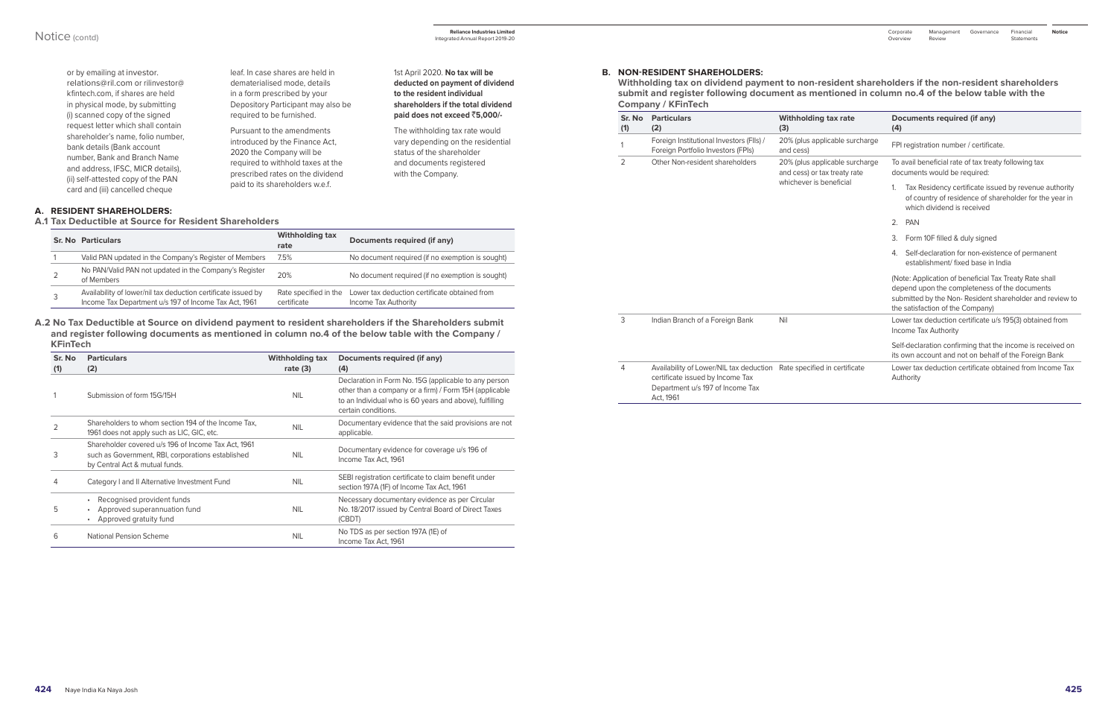or by emailing at [investor.](mailto:investor.relations@ril.com) [relations@ril.com](mailto:investor.relations@ril.com) or [rilinvestor@](mailto:rilinvestor@kfintech.com) [kfintech.com,](mailto:rilinvestor@kfintech.com) if shares are held in physical mode, by submitting (i) scanned copy of the signed request letter which shall contain shareholder's name, folio number, bank details (Bank account number, Bank and Branch Name and address, IFSC, MICR details), (ii) self-attested copy of the PAN card and (iii) cancelled cheque

leaf. In case shares are held in dematerialised mode, details in a form prescribed by your Depository Participant may also be required to be furnished. Pursuant to the amendments

introduced by the Finance Act, 2020 the Company will be required to withhold taxes at the prescribed rates on the dividend paid to its shareholders w.e.f.

1st April 2020. **No tax will be deducted on payment of dividend to the resident individual shareholders if the total dividend paid does not exceed** `**5,000/-**

 The withholding tax rate would vary depending on the residential status of the shareholder and documents registered with the Company.

# **A. RESIDENT SHAREHOLDERS:**

**A.1 Tax Deductible at Source for Resident Shareholders**

| <b>Sr. No Particulars</b>                                                                                              | Withholding tax<br>rate              | Documents required (if any)                                           |
|------------------------------------------------------------------------------------------------------------------------|--------------------------------------|-----------------------------------------------------------------------|
| Valid PAN updated in the Company's Register of Members                                                                 | 7.5%                                 | No document required (if no exemption is sought)                      |
| No PAN/Valid PAN not updated in the Company's Register<br>of Members                                                   | 20%                                  | No document required (if no exemption is sought)                      |
| Availability of lower/nil tax deduction certificate issued by<br>Income Tax Department u/s 197 of Income Tax Act, 1961 | Rate specified in the<br>certificate | Lower tax deduction certificate obtained from<br>Income Tax Authority |

**A.2 No Tax Deductible at Source on dividend payment to resident shareholders if the Shareholders submit and register following documents as mentioned in column no.4 of the below table with the Company / KFinTech**

| Sr. No<br>(1) | <b>Particulars</b><br>(2)                                                                                                                  | Withholding tax<br>rate $(3)$ | Documents required (if any)<br>(4)                                                                                                                                                                |
|---------------|--------------------------------------------------------------------------------------------------------------------------------------------|-------------------------------|---------------------------------------------------------------------------------------------------------------------------------------------------------------------------------------------------|
|               | Submission of form 15G/15H                                                                                                                 | <b>NIL</b>                    | Declaration in Form No. 15G (applicable to any person<br>other than a company or a firm) / Form 15H (applicable<br>to an Individual who is 60 years and above), fulfilling<br>certain conditions. |
|               | Shareholders to whom section 194 of the Income Tax.<br>1961 does not apply such as LIC, GIC, etc.                                          | <b>NIL</b>                    | Documentary evidence that the said provisions are not<br>applicable.                                                                                                                              |
| 3             | Shareholder covered u/s 196 of Income Tax Act, 1961<br>such as Government, RBI, corporations established<br>by Central Act & mutual funds. | <b>NIL</b>                    | Documentary evidence for coverage u/s 196 of<br>Income Tax Act, 1961                                                                                                                              |
| 4             | Category I and II Alternative Investment Fund                                                                                              | <b>NIL</b>                    | SEBI registration certificate to claim benefit under<br>section 197A (1F) of Income Tax Act, 1961                                                                                                 |
| 5             | Recognised provident funds<br>$\bullet$<br>Approved superannuation fund<br>Approved gratuity fund<br>٠                                     | <b>NIL</b>                    | Necessary documentary evidence as per Circular<br>No. 18/2017 issued by Central Board of Direct Taxes<br>(CBDT)                                                                                   |
| 6             | National Pension Scheme                                                                                                                    | <b>NIL</b>                    | No TDS as per section 197A (1E) of<br>Income Tax Act, 1961                                                                                                                                        |

#### **B. NON-RESIDENT SHAREHOLDERS:**

**Withholding tax on dividend payment to non-resident shareholders if the non-resident shareholders submit and register following document as mentioned in column no.4 of the below table with the Company / KFinTech**

| Sr. No<br>(1)  | <b>Particulars</b><br>(2)                                                                                                                                       | Withholding tax rate<br>(3)                                                               | Documents required (if any)<br>(4)                                                                                                                                                                     |
|----------------|-----------------------------------------------------------------------------------------------------------------------------------------------------------------|-------------------------------------------------------------------------------------------|--------------------------------------------------------------------------------------------------------------------------------------------------------------------------------------------------------|
|                | Foreign Institutional Investors (FIIs) /<br>Foreign Portfolio Investors (FPIs)                                                                                  | 20% (plus applicable surcharge<br>and cess)                                               | FPI registration number / certificate.                                                                                                                                                                 |
| $\overline{2}$ | Other Non-resident shareholders                                                                                                                                 | 20% (plus applicable surcharge<br>and cess) or tax treaty rate<br>whichever is beneficial | To avail beneficial rate of tax treaty following tax<br>documents would be required:                                                                                                                   |
|                |                                                                                                                                                                 |                                                                                           | Tax Residency certificate issued by revenue authority<br>1.<br>of country of residence of shareholder for the year in<br>which dividend is received                                                    |
|                |                                                                                                                                                                 |                                                                                           | 2. PAN                                                                                                                                                                                                 |
|                |                                                                                                                                                                 |                                                                                           | 3.<br>Form 10F filled & duly signed                                                                                                                                                                    |
|                |                                                                                                                                                                 |                                                                                           | Self-declaration for non-existence of permanent<br>4.<br>establishment/fixed base in India                                                                                                             |
|                |                                                                                                                                                                 |                                                                                           | (Note: Application of beneficial Tax Treaty Rate shall<br>depend upon the completeness of the documents<br>submitted by the Non-Resident shareholder and review to<br>the satisfaction of the Company) |
| 3              | Indian Branch of a Foreign Bank                                                                                                                                 | Nil                                                                                       | Lower tax deduction certificate u/s 195(3) obtained from<br>Income Tax Authority                                                                                                                       |
|                |                                                                                                                                                                 |                                                                                           | Self-declaration confirming that the income is received on<br>its own account and not on behalf of the Foreign Bank                                                                                    |
| 4              | Availability of Lower/NIL tax deduction Rate specified in certificate<br>certificate issued by Income Tax<br>Department u/s 197 of Income Tax<br>$A_{r+1}$ 1061 |                                                                                           | Lower tax deduction certificate obtained from Income Tax<br>Authority                                                                                                                                  |

Act, 1961

**Reliance Industries Limited**  Integrated Annual Report 2019-20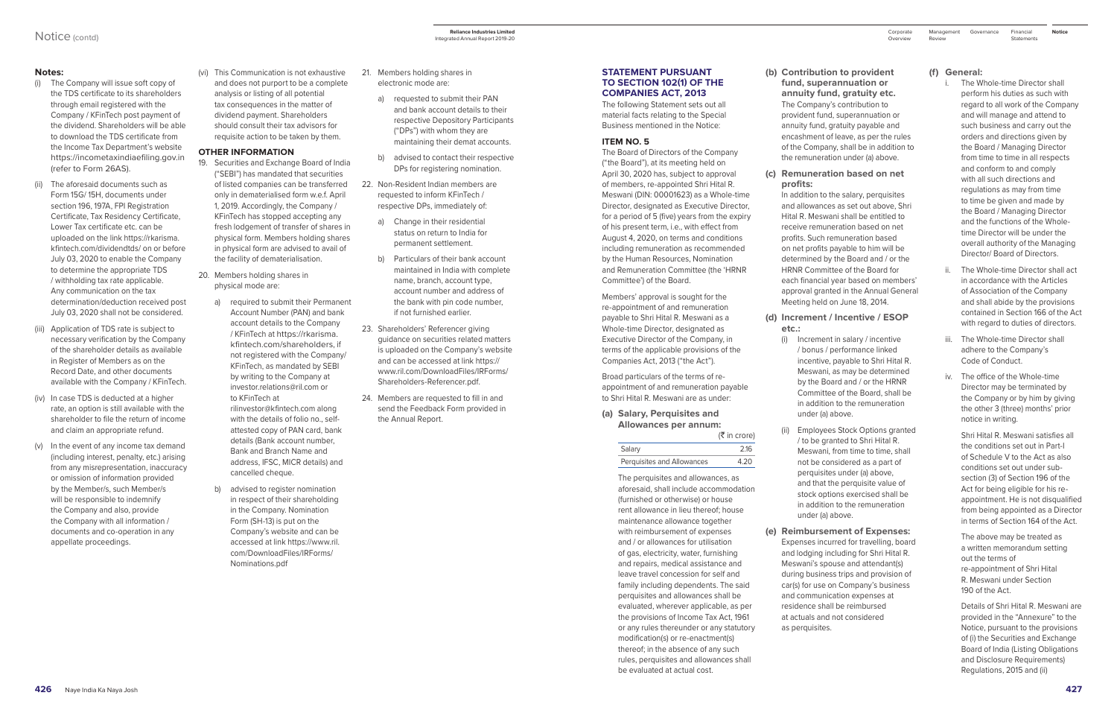# **Notes:**

(vi) This Communication is not exhaustive and does not purport to be a complete analysis or listing of all potential tax consequences in the matter of dividend payment. Shareholders should consult their tax advisors for requisite action to be taken by them.

- (i) The Company will issue soft copy of the TDS certificate to its shareholders through email registered with the Company / KFinTech post payment of the dividend. Shareholders will be able to download the TDS certificate from the Income Tax Department's website <https://incometaxindiaefiling.gov.in> (refer to Form 26AS).
- The aforesaid documents such as Form 15G/ 15H, documents under section 196, 197A, FPI Registration Certificate, Tax Residency Certificate, Lower Tax certificate etc. can be uploaded on the link [https://rkarisma.](https://rkarisma.kfintech.com/dividendtds/) [kfintech.com/dividendtds/](https://rkarisma.kfintech.com/dividendtds/) on or before July 03, 2020 to enable the Company to determine the appropriate TDS / withholding tax rate applicable. Any communication on the tax determination/deduction received post July 03, 2020 shall not be considered.
- (iii) Application of TDS rate is subject to necessary verification by the Company of the shareholder details as available in Register of Members as on the Record Date, and other documents available with the Company / KFinTech.
- (iv) In case TDS is deducted at a higher rate, an option is still available with the shareholder to file the return of income and claim an appropriate refund.
- (v) In the event of any income tax demand (including interest, penalty, etc.) arising from any misrepresentation, inaccuracy or omission of information provided by the Member/s, such Member/s will be responsible to indemnify the Company and also, provide the Company with all information / documents and co-operation in any appellate proceedings.

# **OTHER INFORMATION**

- 19. Securities and Exchange Board of India ("SEBI") has mandated that securities of listed companies can be transferred only in dematerialised form w.e.f. April 1, 2019. Accordingly, the Company / KFinTech has stopped accepting any fresh lodgement of transfer of shares in physical form. Members holding shares in physical form are advised to avail of the facility of dematerialisation.
- 20. Members holding shares in physical mode are:
	- a) required to submit their Permanent Account Number (PAN) and bank account details to the Company / KFinTech at [https://rkarisma.](https://rkarisma.kfintech.com/shareholders) [kfintech.com/shareholders](https://rkarisma.kfintech.com/shareholders), if not registered with the Company/ KFinTech, as mandated by SEBI by writing to the Company at investor.relations@ril.com or to KFinTech at

#### **(a) Salary, Perquisites and Allowances per annum:**  $(\bar{z}$  in crore)

rilinvestor@kfintech.com along with the details of folio no., selfattested copy of PAN card, bank details (Bank account number, Bank and Branch Name and address, IFSC, MICR details) and cancelled cheque.

b) advised to register nomination in respect of their shareholding in the Company. Nomination Form (SH-13) is put on the Company's website and can be accessed at link [https://www.ril.](https://www.ril.com/DownloadFiles/IRForms/Nominations.pdf) [com/DownloadFiles/IRForms/](https://www.ril.com/DownloadFiles/IRForms/Nominations.pdf) [Nominations.pdf](https://www.ril.com/DownloadFiles/IRForms/Nominations.pdf)

- 21. Members holding shares in electronic mode are:
	- a) requested to submit their PAN and bank account details to their respective Depository Participants ("DPs") with whom they are maintaining their demat accounts.
	- b) advised to contact their respective DPs for registering nomination.
- 22. Non-Resident Indian members are requested to inform KFinTech / respective DPs, immediately of:
	- a) Change in their residential status on return to India for permanent settlement.
	- b) Particulars of their bank account maintained in India with complete name, branch, account type, account number and address of the bank with pin code number, if not furnished earlier.
- 23. Shareholders' Referencer giving guidance on securities related matters is uploaded on the Company's website and can be accessed at link [https://](https://www.ril.com/DownloadFiles/IRForms/Shareholders-Referencer.pdf) [www.ril.com/DownloadFiles/IRForms/](https://www.ril.com/DownloadFiles/IRForms/Shareholders-Referencer.pdf) [Shareholders-Referencer.pdf.](https://www.ril.com/DownloadFiles/IRForms/Shareholders-Referencer.pdf)
- 24. Members are requested to fill in and send the Feedback Form provided in the Annual Report.

### **STATEMENT PURSUANT TO SECTION 102(1) OF THE COMPANIES ACT, 2013**

The following Statement sets out all material facts relating to the Special Business mentioned in the Notice:

# **ITEM NO. 5**

The Board of Directors of the Company ("the Board"), at its meeting held on April 30, 2020 has, subject to approval of members, re-appointed Shri Hital R. Meswani (DIN: 00001623) as a Whole-time Director, designated as Executive Director, for a period of 5 (five) years from the expiry of his present term, i.e., with effect from August 4, 2020, on terms and conditions including remuneration as recommended by the Human Resources, Nomination and Remuneration Committee (the 'HRNR Committee') of the Board.

Financial **Notice Statements** 

Members' approval is sought for the re-appointment of and remuneration payable to Shri Hital R. Meswani as a Whole-time Director, designated as Executive Director of the Company, in terms of the applicable provisions of the Companies Act, 2013 ("the Act").

Broad particulars of the terms of reappointment of and remuneration payable to Shri Hital R. Meswani are as under:

|                            | $\sum$ $\sum$ $\sum$ $\sum$ $\sum$ $\sum$ $\sum$ $\sum$ |
|----------------------------|---------------------------------------------------------|
| Salary                     | 2.16                                                    |
| Perquisites and Allowances | 4.20                                                    |
|                            |                                                         |

The perquisites and allowances, as aforesaid, shall include accommodation (furnished or otherwise) or house rent allowance in lieu thereof; house maintenance allowance together with reimbursement of expenses and / or allowances for utilisation of gas, electricity, water, furnishing and repairs, medical assistance and leave travel concession for self and family including dependents. The said perquisites and allowances shall be evaluated, wherever applicable, as per the provisions of Income Tax Act, 1961 or any rules thereunder or any statutory modification(s) or re-enactment(s) thereof; in the absence of any such rules, perquisites and allowances shall be evaluated at actual cost.

**(b) Contribution to provident fund, superannuation or annuity fund, gratuity etc.** The Company's contribution to provident fund, superannuation or annuity fund, gratuity payable and encashment of leave, as per the rules of the Company, shall be in addition to the remuneration under (a) above.

#### **(c) Remuneration based on net profits:**

In addition to the salary, perquisites and allowances as set out above, Shri Hital R. Meswani shall be entitled to receive remuneration based on net profits. Such remuneration based on net profits payable to him will be determined by the Board and / or the HRNR Committee of the Board for each financial year based on members' approval granted in the Annual General Meeting held on June 18, 2014.

# **(d) Increment / Incentive / ESOP etc.:**

- (i) Increment in salary / incentive / bonus / performance linked incentive, payable to Shri Hital R. Meswani, as may be determined by the Board and / or the HRNR Committee of the Board, shall be in addition to the remuneration under (a) above.
- (ii) Employees Stock Options granted / to be granted to Shri Hital R. Meswani, from time to time, shall not be considered as a part of perquisites under (a) above, and that the perquisite value of stock options exercised shall be in addition to the remuneration under (a) above.
- **(e) Reimbursement of Expenses:**
	- Expenses incurred for travelling, board and lodging including for Shri Hital R. Meswani's spouse and attendant(s) during business trips and provision of car(s) for use on Company's business and communication expenses at residence shall be reimbursed at actuals and not considered as perquisites.

### **(f) General:**

- i. The Whole-time Director shall perform his duties as such with regard to all work of the Company and will manage and attend to such business and carry out the orders and directions given by the Board / Managing Director from time to time in all respects and conform to and comply with all such directions and regulations as may from time to time be given and made by the Board / Managing Director and the functions of the Wholetime Director will be under the overall authority of the Managing Director/ Board of Directors.
- ii. The Whole-time Director shall act in accordance with the Articles of Association of the Company and shall abide by the provisions contained in Section 166 of the Act with regard to duties of directors.
- iii. The Whole-time Director shall adhere to the Company's Code of Conduct.
- iv. The office of the Whole-time Director may be terminated by the Company or by him by giving the other 3 (three) months' prior notice in writing.

Shri Hital R. Meswani satisfies all the conditions set out in Part-I of Schedule V to the Act as also conditions set out under subsection (3) of Section 196 of the Act for being eligible for his reappointment. He is not disqualified from being appointed as a Director in terms of Section 164 of the Act.

The above may be treated as a written memorandum setting out the terms of re-appointment of Shri Hital R. Meswani under Section 190 of the Act.

Details of Shri Hital R. Meswani are provided in the "Annexure" to the Notice, pursuant to the provisions of (i) the Securities and Exchange Board of India (Listing Obligations and Disclosure Requirements) Regulations, 2015 and (ii)

Management Corporate Governance Review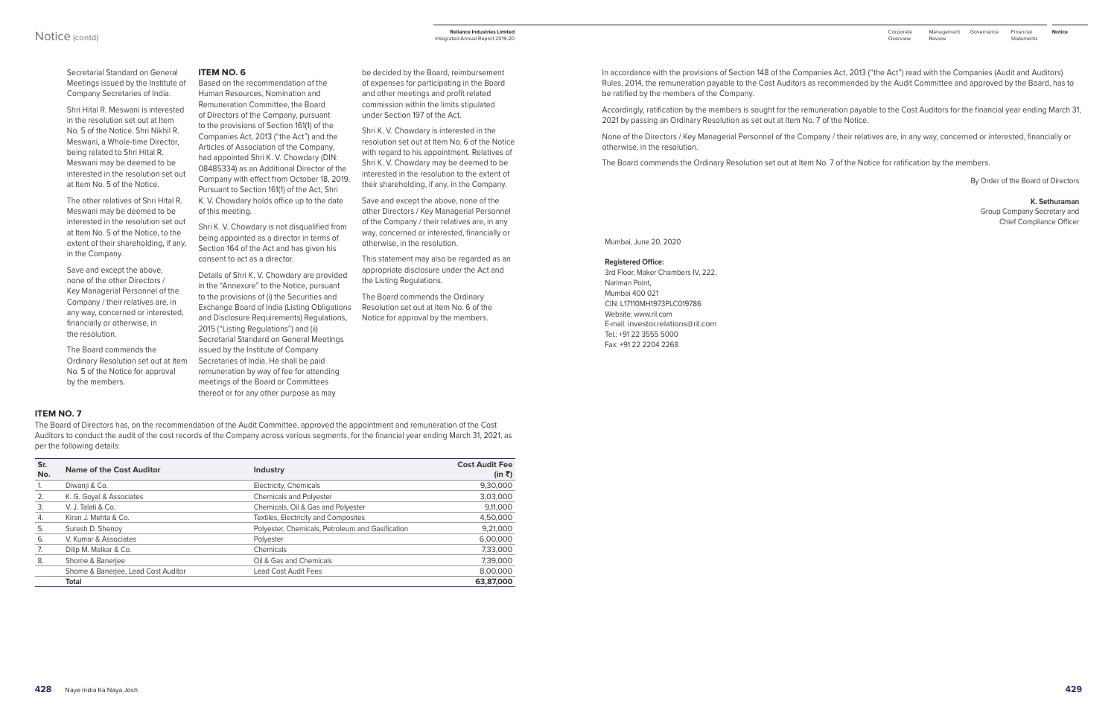Secretarial Standard on General Meetings issued by the Institute of Company Secretaries of India.

Shri Hital R. Meswani is interested in the resolution set out at Item No. 5 of the Notice. Shri Nikhil R. Meswani, a Whole-time Director, being related to Shri Hital R. Meswani may be deemed to be interested in the resolution set out at Item No. 5 of the Notice.

The other relatives of Shri Hital R. Meswani may be deemed to be interested in the resolution set out at Item No. 5 of the Notice, to the extent of their shareholding, if any, in the Company.

Save and except the above, none of the other Directors / Key Managerial Personnel of the Company / their relatives are, in any way, concerned or interested, financially or otherwise, in the resolution.

 The Board commends the Ordinary Resolution set out at Item No. 5 of the Notice for approval by the members.

#### **ITEM NO. 6**

Based on the recommendation of the Human Resources, Nomination and Remuneration Committee, the Board of Directors of the Company, pursuant to the provisions of Section 161(1) of the Companies Act, 2013 ("the Act") and the Articles of Association of the Company, had appointed Shri K. V. Chowdary (DIN: 08485334) as an Additional Director of the Company with effect from October 18, 2019. Pursuant to Section 161(1) of the Act, Shri K. V. Chowdary holds office up to the date of this meeting.

Shri K. V. Chowdary is not disqualified from being appointed as a director in terms of Section 164 of the Act and has given his consent to act as a director.

Details of Shri K. V. Chowdary are provided in the "Annexure" to the Notice, pursuant to the provisions of (i) the Securities and Exchange Board of India (Listing Obligations and Disclosure Requirements) Regulations, 2015 ("Listing Regulations") and (ii) Secretarial Standard on General Meetings issued by the Institute of Company Secretaries of India. He shall be paid remuneration by way of fee for attending meetings of the Board or Committees thereof or for any other purpose as may

be decided by the Board, reimbursement of expenses for participating in the Board and other meetings and profit related commission within the limits stipulated under Section 197 of the Act.

Shri K. V. Chowdary is interested in the resolution set out at Item No. 6 of the Notice with regard to his appointment. Relatives of Shri K. V. Chowdary may be deemed to be interested in the resolution to the extent of their shareholding, if any, in the Company.

Save and except the above, none of the other Directors / Key Managerial Personnel of the Company / their relatives are, in any way, concerned or interested, financially or otherwise, in the resolution.

This statement may also be regarded as an appropriate disclosure under the Act and the Listing Regulations.

The Board commends the Ordinary Resolution set out at Item No. 6 of the Notice for approval by the members.

### **ITEM NO. 7**

The Board of Directors has, on the recommendation of the Audit Committee, approved the appointment and remuneration of the Cost Auditors to conduct the audit of the cost records of the Company across various segments, for the financial year ending March 31, 2021, as per the following details:

| Sr.<br>No. | <b>Name of the Cost Auditor</b>     | Industry                                         | <b>Cost Audit Fee</b><br>(in ₹) |
|------------|-------------------------------------|--------------------------------------------------|---------------------------------|
| 1.         | Diwanji & Co.                       | <b>Electricity, Chemicals</b>                    | 9,30,000                        |
| 2.         | K. G. Goyal & Associates            | <b>Chemicals and Polyester</b>                   | 3,03,000                        |
| 3.         | V. J. Talati & Co.                  | Chemicals, Oil & Gas and Polyester               | 9,11,000                        |
| 4.         | Kiran J. Mehta & Co.                | Textiles, Electricity and Composites             | 4,50,000                        |
| 5.         | Suresh D. Shenoy                    | Polyester, Chemicals, Petroleum and Gasification | 9,21,000                        |
| 6.         | V. Kumar & Associates               | Polyester                                        | 6,00,000                        |
| 7.         | Dilip M. Malkar & Co.               | Chemicals                                        | 7,33,000                        |
| 8.         | Shome & Banerjee                    | Oil & Gas and Chemicals                          | 7,39,000                        |
|            | Shome & Banerjee, Lead Cost Auditor | <b>Lead Cost Audit Fees</b>                      | 8,00,000                        |
|            | <b>Total</b>                        |                                                  | 63,87,000                       |

In accordance with the provisions of Section 148 of the Companies Act, 2013 ("the Act") read with the Companies (Audit and Auditors) Rules, 2014, the remuneration payable to the Cost Auditors as recommended by the Audit Committee and approved by the Board, has to be ratified by the members of the Company.

Accordingly, ratification by the members is sought for the remuneration payable to the Cost Auditors for the financial year ending March 31, 2021 by passing an Ordinary Resolution as set out at Item No. 7 of the Notice.

None of the Directors / Key Managerial Personnel of the Company / their relatives are, in any way, concerned or interested, financially or otherwise, in the resolution.

The Board commends the Ordinary Resolution set out at Item No. 7 of the Notice for ratification by the members.

By Order of the Board of Directors

**K. Sethuraman** Group Company Secretary and Chief Compliance Officer

Mumbai, June 20, 2020

#### **Registered Office:**

3rd Floor, Maker Chambers IV, 222, Nariman Point, Mumbai 400 021 CIN: L17110MH1973PLC019786 Website: www.ril.com E-mail: [investor.relations@ril.com](mailto:investor.relations@ril.com) Tel.: +91 22 3555 5000 Fax: +91 22 2204 2268